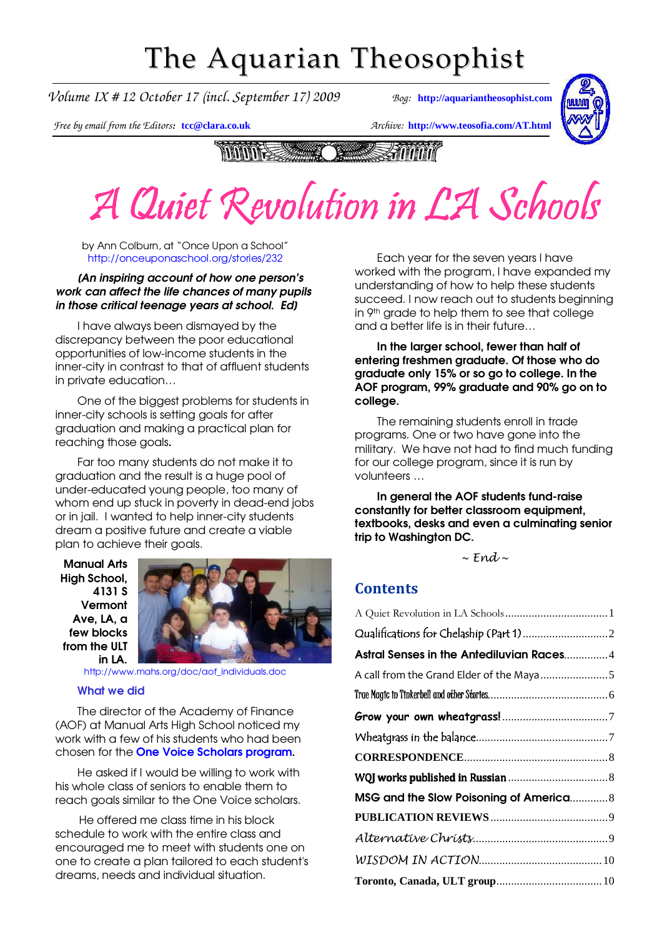## The Aquarian Theosophist

*Volume IX # 12 October 17 (incl. September 17) 2009 Bog:* **[http://aquariantheosophist.com](http://aquariantheosophist.com/)**



*Free by email from the Editors:* **[tcc@clara.co.uk](mailto:tcc@clara.co.uk)** *Archive:* **<http://www.teosofia.com/AT.html>**

**MANA SEALER Shonn The Second Second** 

### $\Box$  Cluist Revolution A Quiet Revolution in LA Schools

by Ann Colburn, at "Once Upon a School" <http://onceuponaschool.org/stories/232>

#### [An inspiring account of how one person's work can affect the life chances of many pupils in those critical teenage years at school. Ed]

I have always been dismayed by the discrepancy between the poor educational opportunities of low-income students in the inner-city in contrast to that of affluent students in private education…

One of the biggest problems for students in inner-city schools is setting goals for after graduation and making a practical plan for reaching those goals.

Far too many students do not make it to graduation and the result is a huge pool of under-educated young people, too many of whom end up stuck in poverty in dead-end jobs or in jail. I wanted to help inner-city students dream a positive future and create a viable plan to achieve their goals.

Manual Arts High School, 4131 S Vermont Ave, LA, a few blocks from the ULT in LA.



[http://www.mahs.org/doc/aof\\_individuals.doc](http://www.mahs.org/doc/aof_individuals.doc)

#### What we did

The director of the Academy of Finance (AOF) at Manual Arts High School noticed my work with a few of his students who had been chosen for the **One Voice Scholars program.** 

He asked if I would be willing to work with his whole class of seniors to enable them to reach goals similar to the One Voice scholars.

He offered me class time in his block schedule to work with the entire class and encouraged me to meet with students one on one to create a plan tailored to each student's dreams, needs and individual situation.

Each year for the seven years I have worked with the program, I have expanded my understanding of how to help these students succeed. I now reach out to students beginning in 9th grade to help them to see that college and a better life is in their future…

In the larger school, fewer than half of entering freshmen graduate. Of those who do graduate only 15% or so go to college. In the AOF program, 99% graduate and 90% go on to college.

The remaining students enroll in trade programs. One or two have gone into the military. We have not had to find much funding for our college program, since it is run by volunteers …

In general the AOF students fund-raise constantly for better classroom equipment, textbooks, desks and even a culminating senior trip to Washington DC.

 $\sim$  Fnd<sub> $\sim$ </sub>

#### **Contents**

| Astral Senses in the Antediluvian Races4 |
|------------------------------------------|
|                                          |
|                                          |
|                                          |
|                                          |
|                                          |
|                                          |
| MSG and the Slow Poisoning of America8   |
|                                          |
|                                          |
|                                          |
|                                          |
|                                          |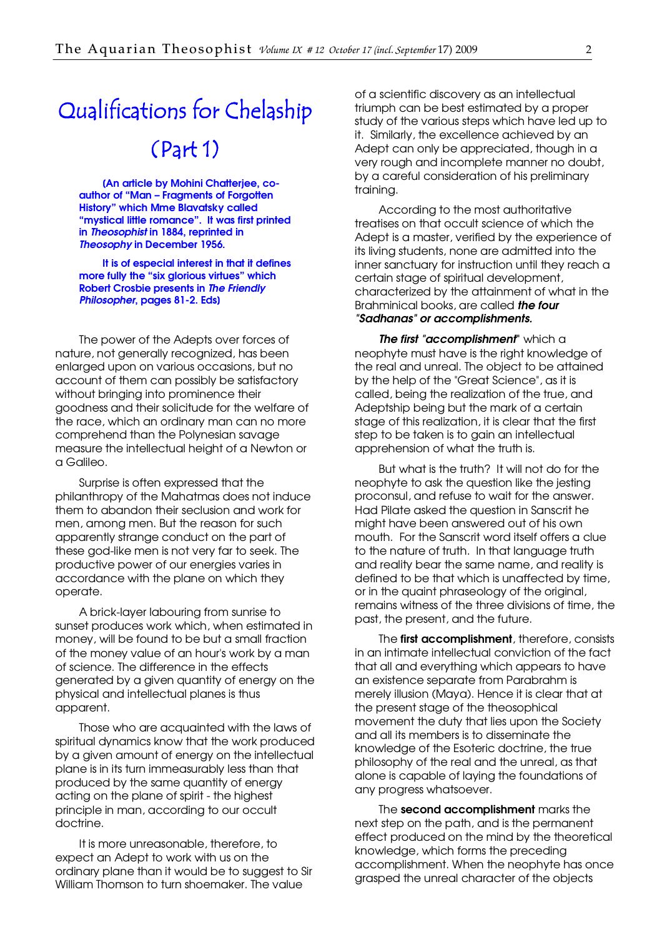## <span id="page-1-0"></span>Qualifications for Chelaship (Part 1)

[An article by Mohini Chatterjee, coauthor of "Man – Fragments of Forgotten History" which Mme Blavatsky called "mystical little romance". It was first printed in Theosophist in 1884, reprinted in Theosophy in December 1956.

It is of especial interest in that it defines more fully the "six glorious virtues" which Robert Crosbie presents in The Friendly Philosopher, pages 81-2. Eds]

The power of the Adepts over forces of nature, not generally recognized, has been enlarged upon on various occasions, but no account of them can possibly be satisfactory without bringing into prominence their goodness and their solicitude for the welfare of the race, which an ordinary man can no more comprehend than the Polynesian savage measure the intellectual height of a Newton or a Galileo.

Surprise is often expressed that the philanthropy of the Mahatmas does not induce them to abandon their seclusion and work for men, among men. But the reason for such apparently strange conduct on the part of these god-like men is not very far to seek. The productive power of our energies varies in accordance with the plane on which they operate.

A brick-layer labouring from sunrise to sunset produces work which, when estimated in money, will be found to be but a small fraction of the money value of an hour's work by a man of science. The difference in the effects generated by a given quantity of energy on the physical and intellectual planes is thus apparent.

Those who are acquainted with the laws of spiritual dynamics know that the work produced by a given amount of energy on the intellectual plane is in its turn immeasurably less than that produced by the same quantity of energy acting on the plane of spirit - the highest principle in man, according to our occult doctrine.

It is more unreasonable, therefore, to expect an Adept to work with us on the ordinary plane than it would be to suggest to Sir William Thomson to turn shoemaker. The value

of a scientific discovery as an intellectual triumph can be best estimated by a proper study of the various steps which have led up to it. Similarly, the excellence achieved by an Adept can only be appreciated, though in a very rough and incomplete manner no doubt, by a careful consideration of his preliminary training.

According to the most authoritative treatises on that occult science of which the Adept is a master, verified by the experience of its living students, none are admitted into the inner sanctuary for instruction until they reach a certain stage of spiritual development, characterized by the attainment of what in the Brahminical books, are called **the four** "Sadhanas" or accomplishments.

The first "accomplishment" which a neophyte must have is the right knowledge of the real and unreal. The object to be attained by the help of the "Great Science", as it is called, being the realization of the true, and Adeptship being but the mark of a certain stage of this realization, it is clear that the first step to be taken is to gain an intellectual apprehension of what the truth is.

But what is the truth? It will not do for the neophyte to ask the question like the jesting proconsul, and refuse to wait for the answer. Had Pilate asked the question in Sanscrit he might have been answered out of his own mouth. For the Sanscrit word itself offers a clue to the nature of truth. In that language truth and reality bear the same name, and reality is defined to be that which is unaffected by time, or in the quaint phraseology of the original, remains witness of the three divisions of time, the past, the present, and the future.

The first accomplishment, therefore, consists in an intimate intellectual conviction of the fact that all and everything which appears to have an existence separate from Parabrahm is merely illusion (Maya). Hence it is clear that at the present stage of the theosophical movement the duty that lies upon the Society and all its members is to disseminate the knowledge of the Esoteric doctrine, the true philosophy of the real and the unreal, as that alone is capable of laying the foundations of any progress whatsoever.

The second accomplishment marks the next step on the path, and is the permanent effect produced on the mind by the theoretical knowledge, which forms the preceding accomplishment. When the neophyte has once grasped the unreal character of the objects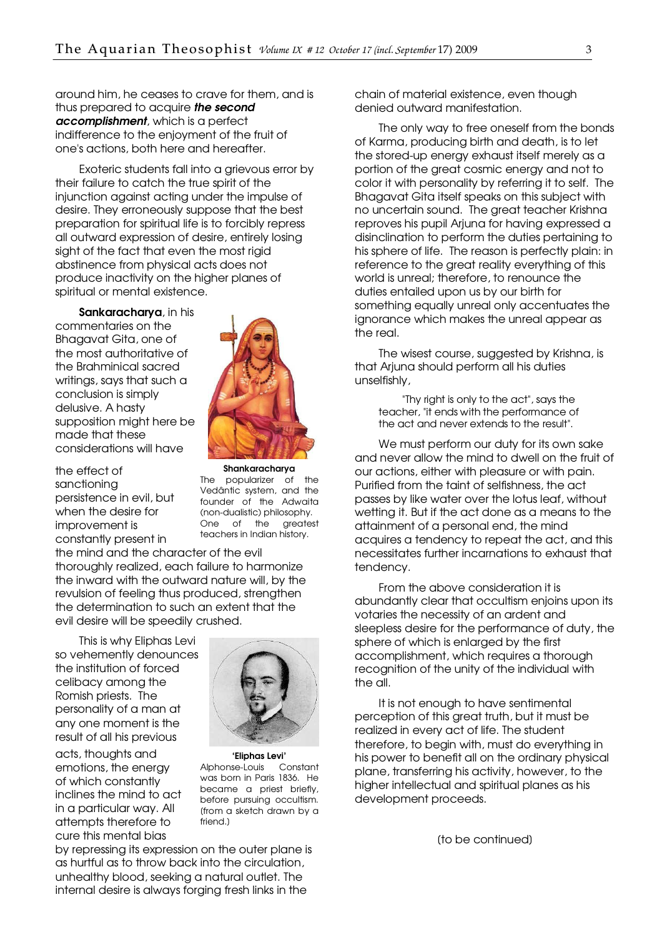around him, he ceases to crave for them, and is thus prepared to acquire **the second** accomplishment, which is a perfect indifference to the enjoyment of the fruit of one's actions, both here and hereafter.

Exoteric students fall into a grievous error by their failure to catch the true spirit of the injunction against acting under the impulse of desire. They erroneously suppose that the best preparation for spiritual life is to forcibly repress all outward expression of desire, entirely losing sight of the fact that even the most rigid abstinence from physical acts does not produce inactivity on the higher planes of spiritual or mental existence.

Sankaracharya, in his commentaries on the Bhagavat Gita, one of the most authoritative of the Brahminical sacred writings, says that such a conclusion is simply delusive. A hasty supposition might here be made that these considerations will have

the effect of sanctioning persistence in evil, but when the desire for improvement is constantly present in

Shankaracharya The popularizer of the Vedântic system, and the founder of the Adwaita (non-dualistic) philosophy. One of the greatest teachers in Indian history.

the mind and the character of the evil thoroughly realized, each failure to harmonize the inward with the outward nature will, by the revulsion of feeling thus produced, strengthen the determination to such an extent that the evil desire will be speedily crushed.

This is why Eliphas Levi so vehemently denounces the institution of forced celibacy among the Romish priests. The personality of a man at any one moment is the result of all his previous

acts, thoughts and emotions, the energy of which constantly inclines the mind to act in a particular way. All attempts therefore to cure this mental bias



'Eliphas Levi' Alphonse-Louis Constant was born in Paris 1836. He became a priest briefly, before pursuing occultism. [from a sketch drawn by a friend.]

by repressing its expression on the outer plane is as hurtful as to throw back into the circulation, unhealthy blood, seeking a natural outlet. The internal desire is always forging fresh links in the

chain of material existence, even though denied outward manifestation.

The only way to free oneself from the bonds of Karma, producing birth and death, is to let the stored-up energy exhaust itself merely as a portion of the great cosmic energy and not to color it with personality by referring it to self. The Bhagavat Gita itself speaks on this subject with no uncertain sound. The great teacher Krishna reproves his pupil Arjuna for having expressed a disinclination to perform the duties pertaining to his sphere of life. The reason is perfectly plain: in reference to the great reality everything of this world is unreal; therefore, to renounce the duties entailed upon us by our birth for something equally unreal only accentuates the ignorance which makes the unreal appear as the real.

The wisest course, suggested by Krishna, is that Arjuna should perform all his duties unselfishly,

"Thy right is only to the act", says the teacher, "it ends with the performance of the act and never extends to the result".

We must perform our duty for its own sake and never allow the mind to dwell on the fruit of our actions, either with pleasure or with pain. Purified from the taint of selfishness, the act passes by like water over the lotus leaf, without wetting it. But if the act done as a means to the attainment of a personal end, the mind acquires a tendency to repeat the act, and this necessitates further incarnations to exhaust that tendency.

From the above consideration it is abundantly clear that occultism enjoins upon its votaries the necessity of an ardent and sleepless desire for the performance of duty, the sphere of which is enlarged by the first accomplishment, which requires a thorough recognition of the unity of the individual with the all.

It is not enough to have sentimental perception of this great truth, but it must be realized in every act of life. The student therefore, to begin with, must do everything in his power to benefit all on the ordinary physical plane, transferring his activity, however, to the higher intellectual and spiritual planes as his development proceeds.

[to be continued]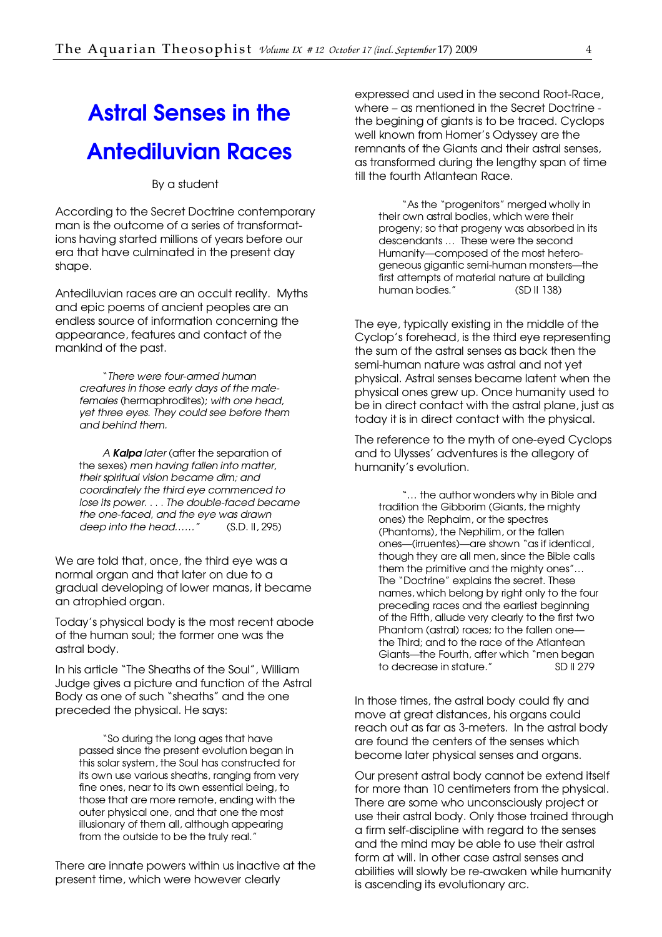## <span id="page-3-0"></span>Astral Senses in the Antediluvian Races

By a student

According to the Secret Doctrine contemporary man is the outcome of a series of transformations having started millions of years before our era that have culminated in the present day shape.

Antediluvian races are an occult reality. Myths and epic poems of ancient peoples are an endless source of information concerning the appearance, features and contact of the mankind of the past.

"There were four-armed human creatures in those early days of the malefemales (hermaphrodites); with one head, yet three eyes. They could see before them and behind them.

A Kalpa later (after the separation of the sexes) men having fallen into matter, their spiritual vision became dim; and coordinately the third eye commenced to lose its power. . . . The double-faced became the one-faced, and the eye was drawn deep into the head……" (S.D. II, 295)

We are told that, once, the third eye was a normal organ and that later on due to a gradual developing of lower manas, it became an atrophied organ.

Today's physical body is the most recent abode of the human soul; the former one was the astral body.

In his article "The Sheaths of the Soul", William Judge gives a picture and function of the Astral Body as one of such "sheaths" and the one preceded the physical. He says:

"So during the long ages that have passed since the present evolution began in this solar system, the Soul has constructed for its own use various sheaths, ranging from very fine ones, near to its own essential being, to those that are more remote, ending with the outer physical one, and that one the most illusionary of them all, although appearing from the outside to be the truly real."

There are innate powers within us inactive at the present time, which were however clearly

expressed and used in the second Root-Race, where – as mentioned in the Secret Doctrine the begining of giants is to be traced. Cyclops well known from Homer's Odyssey are the remnants of the Giants and their astral senses, as transformed during the lengthy span of time till the fourth Atlantean Race.

"As the "progenitors" merged wholly in their own astral bodies, which were their progeny; so that progeny was absorbed in its descendants … These were the second Humanity—composed of the most heterogeneous gigantic semi-human monsters—the first attempts of material nature at building human bodies." (SD II 138)

The eye, typically existing in the middle of the Cyclop's forehead, is the third eye representing the sum of the astral senses as back then the semi-human nature was astral and not yet physical. Astral senses became latent when the physical ones grew up. Once humanity used to be in direct contact with the astral plane, just as today it is in direct contact with the physical.

The reference to the myth of one-eyed Cyclops and to Ulysses' adventures is the allegory of humanity's evolution.

"… the author wonders why in Bible and tradition the Gibborim (Giants, the mighty ones) the Rephaim, or the spectres (Phantoms), the Nephilim, or the fallen ones—(irruentes)—are shown "as if identical, though they are all men, since the Bible calls them the primitive and the mighty ones"… The "Doctrine" explains the secret. These names, which belong by right only to the four preceding races and the earliest beginning of the Fifth, allude very clearly to the first two Phantom (astral) races; to the fallen one the Third; and to the race of the Atlantean Giants—the Fourth, after which "men began to decrease in stature." SD II 279

In those times, the astral body could fly and move at great distances, his organs could reach out as far as 3-meters. In the astral body are found the centers of the senses which become later physical senses and organs.

Our present astral body cannot be extend itself for more than 10 centimeters from the physical. There are some who unconsciously project or use their astral body. Only those trained through a firm self-discipline with regard to the senses and the mind may be able to use their astral form at will. In other case astral senses and abilities will slowly be re-awaken while humanity is ascending its evolutionary arc.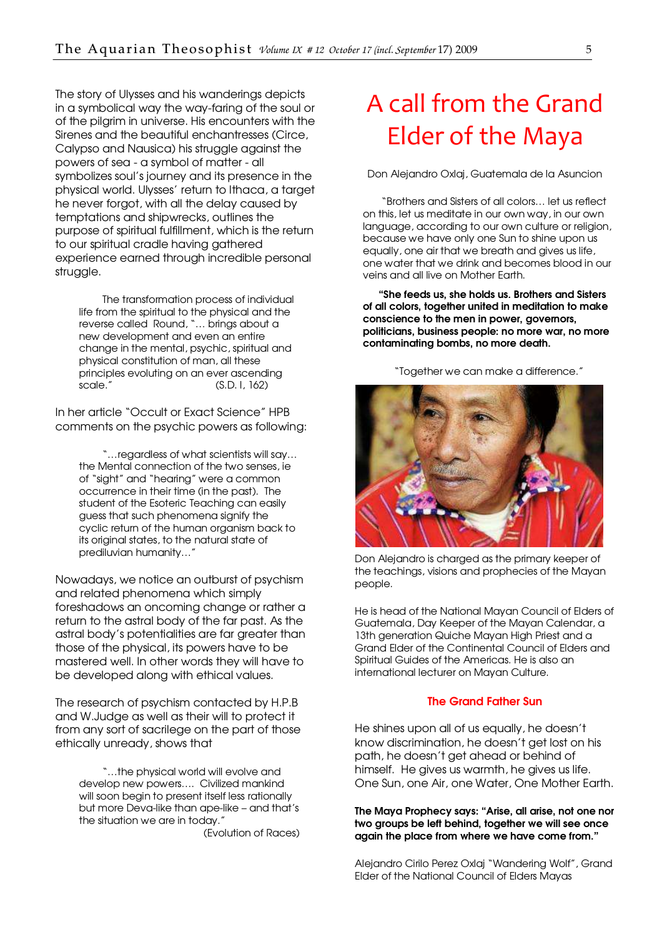<span id="page-4-0"></span>The story of Ulysses and his wanderings depicts in a symbolical way the way-faring of the soul or of the pilgrim in universe. His encounters with the Sirenes and the beautiful enchantresses (Circe, Calypso and Nausica) his struggle against the powers of sea - a symbol of matter - all symbolizes soul's journey and its presence in the physical world. Ulysses' return to Ithaca, a target he never forgot, with all the delay caused by temptations and shipwrecks, outlines the purpose of spiritual fulfillment, which is the return to our spiritual cradle having gathered experience earned through incredible personal struggle.

The transformation process of individual life from the spiritual to the physical and the reverse called Round, "… brings about a new development and even an entire change in the mental, psychic, spiritual and physical constitution of man, all these principles evoluting on an ever ascending<br>scale." (S.D. L 162)  $(S.D. 1, 162)$ 

In her article "Occult or Exact Science" HPB comments on the psychic powers as following:

"…regardless of what scientists will say… the Mental connection of the two senses, ie of "sight" and "hearing" were a common occurrence in their time (in the past). The student of the Esoteric Teaching can easily guess that such phenomena signify the cyclic return of the human organism back to its original states, to the natural state of prediluvian humanity…"

Nowadays, we notice an outburst of psychism and related phenomena which simply foreshadows an oncoming change or rather a return to the astral body of the far past. As the astral body's potentialities are far greater than those of the physical, its powers have to be mastered well. In other words they will have to be developed along with ethical values.

The research of psychism contacted by H.P.B and W.Judge as well as their will to protect it from any sort of sacrilege on the part of those ethically unready, shows that

"…the physical world will evolve and develop new powers…. Civilized mankind will soon begin to present itself less rationally but more Deva-like than ape-like – and that's the situation we are in today."

(Evolution of Races)

## A call from the Grand Elder of the Maya

Don Alejandro Oxlaj, Guatemala de la Asuncion

 "Brothers and Sisters of all colors… let us reflect on this, let us meditate in our own way, in our own language, according to our own culture or religion, because we have only one Sun to shine upon us equally, one air that we breath and gives us life, one w[ater that we drink and becomes blood in our](http://www.commonpassion.org/index.php?option=com_content&task=view&id=74emid=80)  veins and all live on Mother Earth.

"She feeds us, she holds us. Brothers and Sisters of all colors, together united in meditation to make conscience to the men in power, governors, politicians, business people: no more war, no more contaminating bombs, no more death.

"Together we can make a difference."



Don Alejandro is charged as the primary keeper of the teachings, visions and prophecies of the Mayan people.

He is head of the National Mayan Council of Elders of Guatemala, Day Keeper of the Mayan Calendar, a 13th generation Quiche Mayan High Priest and a Grand Elder of the Continental Council of Elders and Spiritual Guides of the Americas. He is also an international lecturer on Mayan Culture.

#### The Grand Father Sun

He shines upon all of us equally, he doesn't know discrimination, he doesn't get lost on his path, he doesn't get ahead or behind of himself. He gives us warmth, he gives us life. One Sun, one Air, one Water, One Mother Earth.

#### The Maya Prophecy says: "Arise, all arise, not one nor two groups be left behind, together we will see once again the place from where we have come from."

Alejandro Cirilo Perez Oxlaj "Wandering Wolf", Grand Elder of the National Council of Elders Mayas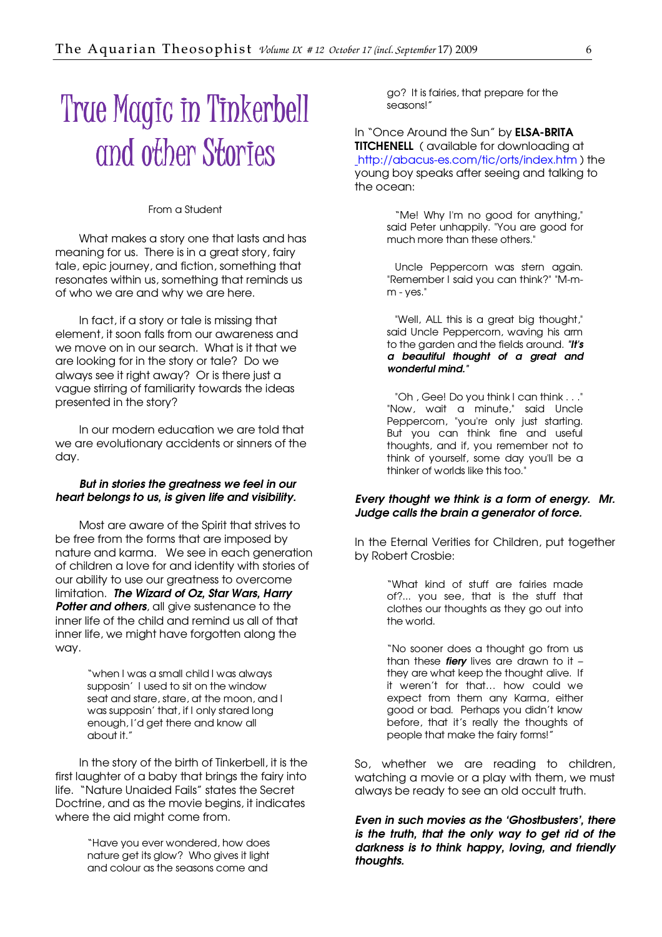# <span id="page-5-0"></span>True Magic in Tinkerbell and other Stories

#### From a Student

What makes a story one that lasts and has meaning for us. There is in a great story, fairy tale, epic journey, and fiction, something that resonates within us, something that reminds us of who we are and why we are here.

In fact, if a story or tale is missing that element, it soon falls from our awareness and we move on in our search. What is it that we are looking for in the story or tale? Do we always see it right away? Or is there just a vague stirring of familiarity towards the ideas presented in the story?

In our modern education we are told that we are evolutionary accidents or sinners of the day.

#### But in stories the greatness we feel in our heart belongs to us, is given life and visibility.

Most are aware of the Spirit that strives to be free from the forms that are imposed by nature and karma. We see in each generation of children a love for and identity with stories of our ability to use our greatness to overcome limitation. The Wizard of Oz, Star Wars, Harry Potter and others, all give sustenance to the inner life of the child and remind us all of that inner life, we might have forgotten along the way.

> "when I was a small child I was always supposin' I used to sit on the window seat and stare, stare, at the moon, and I was supposin' that, if I only stared long enough, I'd get there and know all about it."

In the story of the birth of Tinkerbell, it is the first laughter of a baby that brings the fairy into life. "Nature Unaided Fails" states the Secret Doctrine, and as the movie begins, it indicates where the aid might come from.

> "Have you ever wondered, how does nature get its glow? Who gives it light and colour as the seasons come and

go? It is fairies, that prepare for the seasons!"

In "Once Around the Sun" by **ELSA-BRITA** TITCHENELL ( available for downloading at [http://abacus-es.com/tic/orts/index.htm \) the](http://abacus-es.com/tic/orts/index.htm)  young boy speaks after seeing and talking to the ocean:

> "Me! Why I'm no good for anything," said Peter unhappily. "You are good for much more than these others."

> Uncle Peppercorn was stern again. "Remember I said you can think?" "M-mm - yes."

> "Well, ALL this is a great big thought," said Uncle Peppercorn, waving his arm to the garden and the fields around. "It's a beautiful thought of a great and wonderful mind."

> "Oh , Gee! Do you think I can think . . ." "Now, wait a minute," said Uncle Peppercorn, "you're only just starting. But you can think fine and useful thoughts, and if, you remember not to think of yourself, some day you'll be a thinker of worlds like this too."

#### Every thought we think is a form of energy. Mr. Judge calls the brain a generator of force.

In the Eternal Verities for Children, put together by Robert Crosbie:

> "What kind of stuff are fairies made of?... you see, that is the stuff that clothes our thoughts as they go out into the world.

> "No sooner does a thought go from us than these *fiery* lives are drawn to it  $$ they are what keep the thought alive. If it weren't for that… how could we expect from them any Karma, either good or bad. Perhaps you didn't know before, that it's really the thoughts of people that make the fairy forms!"

So, whether we are reading to children, watching a movie or a play with them, we must always be ready to see an old occult truth.

Even in such movies as the 'Ghostbusters', there is the truth, that the only way to get rid of the darkness is to think happy, loving, and friendly thoughts.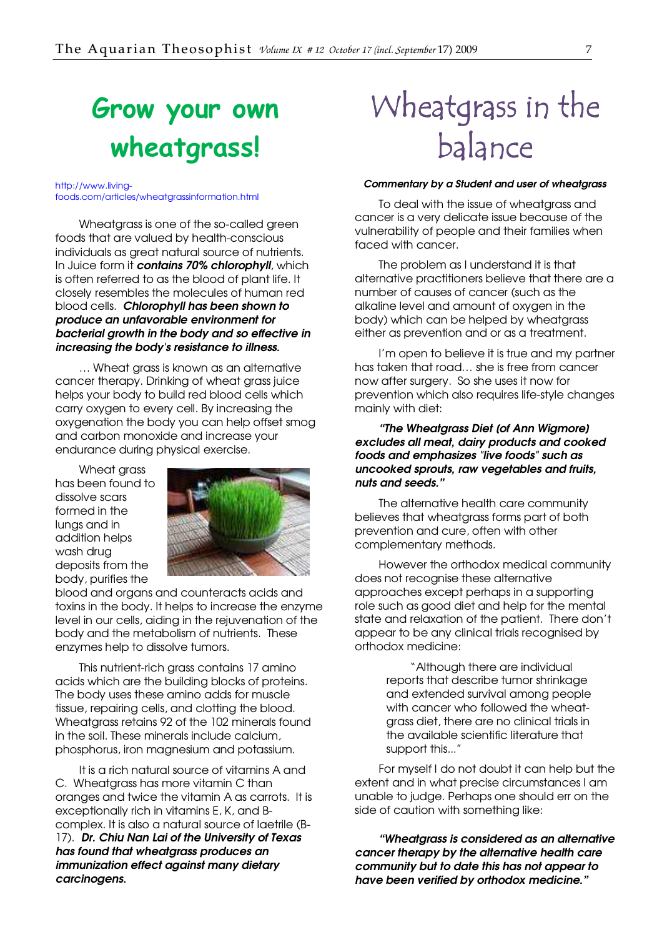## <span id="page-6-0"></span>Grow your own wheatgrass!

http://www.livingfoods.com/articles/wheatgrassinformation.html

Wheatgrass is one of the so-called green foods that are valued by health-conscious individuals as great natural source of nutrients. In Juice form it contains 70% chlorophyll, which is often referred to as the blood of plant life. It closely resembles the molecules of human red blood cells. Chlorophyll has been shown to produce an unfavorable environment for bacterial growth in the body and so effective in increasing the body's resistance to illness.

… Wheat grass is known as an alternative cancer therapy. Drinking of wheat grass juice helps your body to build red blood cells which carry oxygen to every cell. By increasing the oxygenation the body you can help offset smog and carbon monoxide and increase your endurance during physical exercise.

Wheat grass has been found to dissolve scars formed in the lungs and in addition helps wash drug deposits from the body, purifies the



blood and organs and counteracts acids and toxins in the body. It helps to increase the enzyme level in our cells, aiding in the rejuvenation of the body and the metabolism of nutrients. These enzymes help to dissolve tumors.

This nutrient-rich grass contains 17 amino acids which are the building blocks of proteins. The body uses these amino adds for muscle tissue, repairing cells, and clotting the blood. Wheatgrass retains 92 of the 102 minerals found in the soil. These minerals include calcium, phosphorus, iron magnesium and potassium.

It is a rich natural source of vitamins A and C. Wheatgrass has more vitamin C than oranges and twice the vitamin A as carrots. It is exceptionally rich in vitamins E, K, and Bcomplex. It is also a natural source of laetrile (B-17). Dr. Chiu Nan Lai of the University of Texas has found that wheatgrass produces an immunization effect against many dietary carcinogens.

# Wheatgrass in the balance

#### Commentary by a Student and user of wheatgrass

To deal with the issue of wheatgrass and cancer is a very delicate issue because of the vulnerability of people and their families when faced with cancer.

The problem as I understand it is that alternative practitioners believe that there are a number of causes of cancer (such as the alkaline level and amount of oxygen in the body) which can be helped by wheatgrass either as prevention and or as a treatment.

I'm open to believe it is true and my partner has taken that road… she is free from cancer now after surgery. So she uses it now for prevention which also requires life-style changes mainly with diet:

#### "The Wheatgrass Diet [of Ann Wigmore] excludes all meat, dairy products and cooked foods and emphasizes "live foods" such as uncooked sprouts, raw vegetables and fruits, nuts and seeds."

The alternative health care community believes that wheatgrass forms part of both prevention and cure, often with other complementary methods.

However the orthodox medical community does not recognise these alternative approaches except perhaps in a supporting role such as good diet and help for the mental state and relaxation of the patient. There don't appear to be any clinical trials recognised by orthodox medicine:

> "Although there are individual reports that describe tumor shrinkage and extended survival among people with cancer who followed the wheatgrass diet, there are no clinical trials in the available scientific literature that support this..."

For myself I do not doubt it can help but the extent and in what precise circumstances I am unable to judge. Perhaps one should err on the side of caution with something like:

"Wheatgrass is considered as an alternative cancer therapy by the alternative health care community but to date this has not appear to have been verified by orthodox medicine."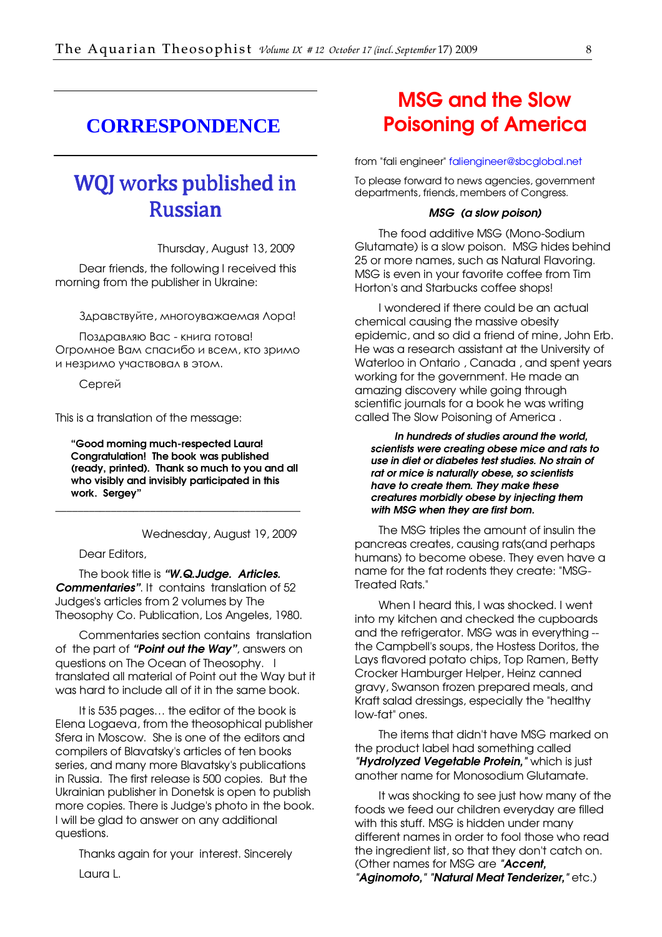### <span id="page-7-0"></span>**CORRESPONDENCE**

### WQJ works published in Russian

Thursday, August 13, 2009

Dear friends, the following I received this morning from the publisher in Ukraine:

Здравствуйте, многоуважаемая Лора!

Поздравляю Вас - книга готова! Огромное Вам спасибо и всем, кто зримо и незримо участвовал в этом.

Сергей

This is a translation of the message:

"Good morning much-respected Laura! Congratulation! The book was published (ready, printed). Thank so much to you and all who visibly and invisibly participated in this work. Sergey"

\_\_\_\_\_\_\_\_\_\_\_\_\_\_\_\_\_\_\_\_\_\_\_\_\_\_\_\_\_\_\_\_\_\_\_\_\_\_\_\_\_\_\_\_

Wednesday, August 19, 2009

Dear Editors,

The book title is "W.Q.Judge. Articles. Commentaries". It contains translation of 52 Judges's articles from 2 volumes by The Theosophy Co. Publication, Los Angeles, 1980.

Commentaries section contains translation of the part of "Point out the Way", answers on questions on The Ocean of Theosophy. I translated all material of Point out the Way but it was hard to include all of it in the same book.

It is 535 pages… the editor of the book is Elena Logaeva, from the theosophical publisher Sfera in Moscow. She is one of the editors and compilers of Blavatsky's articles of ten books series, and many more Blavatsky's publications in Russia. The first release is 500 copies. But the Ukrainian publisher in Donetsk is open to publish more copies. There is Judge's photo in the book. I will be glad to answer on any additional questions.

Thanks again for your interest. Sincerely Laura L.

### [MSG and the Slow](http://www.rense.com/general67/msg.htm)  Poisoning of America

from "fali engineer" [faliengineer@sbcglobal.net](mailto:faliengineer@sbcglobal.net) 

To please forward to news agencies, government departments, friends, members of Congress.

#### MSG (a slow poison)

The food additive MSG (Mono-Sodium Glutamate) is a slow poison. MSG hides behind 25 or more names, such as Natural Flavoring. MSG is even in your favorite coffee from Tim Horton's and Starbucks coffee shops!

I wondered if there could be an actual chemical causing the massive obesity epidemic, and so did a friend of mine, John Erb. He was a research assistant at the University of Waterloo in Ontario , Canada , and spent years working for the government. He made an amazing discovery while going through scientific journals for a book he was writing called The Slow Poisoning of America .

In hundreds of studies around the world, scientists were creating obese mice and rats to use in diet or diabetes test studies. No strain of rat or mice is naturally obese, so scientists have to create them. They make these creatures morbidly obese by injecting them with MSG when they are first born.

The MSG triples the amount of insulin the pancreas creates, causing rats(and perhaps humans) to become obese. They even have a name for the fat rodents they create: "MSG-Treated Rats."

When I heard this, I was shocked. I went into my kitchen and checked the cupboards and the refrigerator. MSG was in everything - the Campbell's soups, the Hostess Doritos, the Lays flavored potato chips, Top Ramen, Betty Crocker Hamburger Helper, Heinz canned gravy, Swanson frozen prepared meals, and Kraft salad dressings, especially the "healthy low-fat" ones.

The items that didn't have MSG marked on the product label had something called "Hydrolyzed Vegetable Protein," which is just another name for Monosodium Glutamate.

It was shocking to see just how many of the foods we feed our children everyday are filled with this stuff. MSG is hidden under many different names in order to fool those who read the ingredient list, so that they don't catch on. (Other names for MSG are "Accent,

"**Aginomoto," "Natural Meat Tenderizer,"** etc.)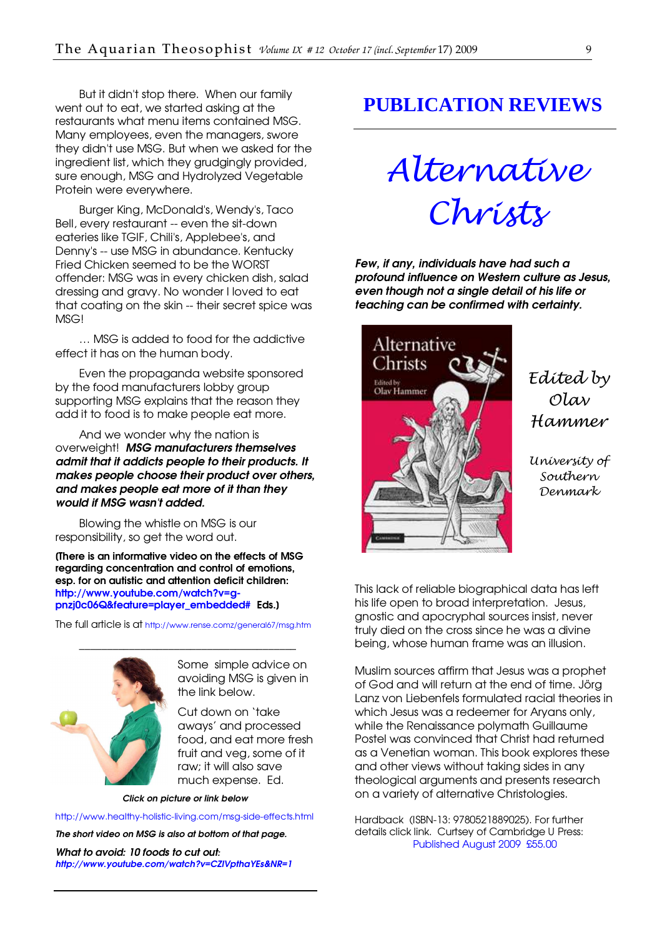<span id="page-8-0"></span>But it didn't stop there. When our family went out to eat, we started asking at the restaurants what menu items contained MSG. Many employees, even the managers, swore they didn't use MSG. But when we asked for the ingredient list, which they grudgingly provided, sure enough, MSG and Hydrolyzed Vegetable Protein were everywhere.

Burger King, McDonald's, Wendy's, Taco Bell, every restaurant -- even the sit-down eateries like TGIF, Chili's, Applebee's, and Denny's -- use MSG in abundance. Kentucky Fried Chicken seemed to be the WORST offender: MSG was in every chicken dish, salad dressing and gravy. No wonder I loved to eat that coating on the skin -- their secret spice was MSG!

… MSG is added to food for the addictive effect it has on the human body.

Even the propaganda website sponsored by the food manufacturers lobby group supporting MSG explains that the reason they add it to food is to make people eat more.

And we wonder why the nation is overweight! MSG manufacturers themselves admit that it addicts people to their products. It makes people choose their product over others, and makes people eat more of it than they would if MSG wasn't added.

Blowing the whistle on MSG is our responsibility, so get the word out.

[There is an informative video on the effects of MSG regarding concentration and control of emotions, esp. for on autistic and attention deficit children: [http://www.youtube.com/watch?v=g](http://www.youtube.com/watch?v=g-pnzj0c06Q&feature=player_embedded)pnzj0c06Q&feature=player\_embedded# Eds.)

The full article is at <http://www.rense.comz/general67/msg.htm>



Some simple advice on avoiding MSG is given in the link below.

Cut down on 'take aways' and processed food, and eat more fresh fruit and veg, some of it raw; it will also save much expense. Ed.

Click on picture or link below

<http://www.healthy-holistic-living.com/msg-side-effects.html>

The short video on MSG is also at bottom of that page.

What to avoid: 10 foods to cut out: <http://www.youtube.com/watch?v=CZlVpthaYEs&NR=1>

### **PUBLICATION REVIEWS**

Alternative

Christs

profound influence on Western culture as Jesus, even though not a single detail of his life or teaching can be confirmed with certainty.

Few, if any, individuals have had such a

Alternative Christs **Edited by**<br>Olav Hammer

Edited by Olav Hammer

University of Southern Denmark

This lack of reliable biographical data has left his life open to broad interpretation. Jesus, gnostic and apocryphal sources insist, never truly died on the cross since he was a divine being, whose human frame was an illusion.

Muslim sources affirm that Jesus was a prophet of God and will return at the end of time. Jörg Lanz von Liebenfels formulated racial theories in which Jesus was a redeemer for Aryans only, while the Renaissance polymath Guillaume Postel was convinced that Christ had returned as a Venetian woman. This book explores these and other views without taking sides in any theological arguments and presents research on a variety of alternative Christologies.

Hardback (ISBN-13: 9780521889025). For further details click link. Curtsey of Cambridge U Press: [Published August 2009 £55.00](http://www.cambridge.org/us/catalogue/catalogue.asp?isbn=0521889022)